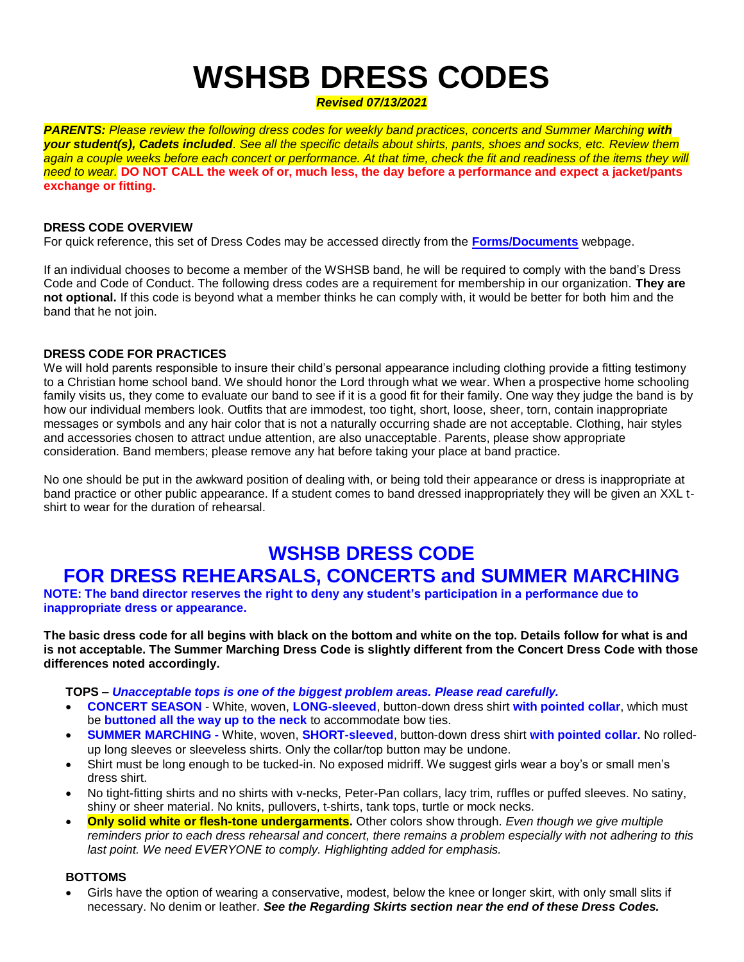# **WSHSB DRESS CODES**

*Revised 07/13/2021*

**PARENTS:** Please review the following dress codes for weekly band practices, concerts and Summer Marching with *your student(s), Cadets included. See all the specific details about shirts, pants, shoes and socks, etc. Review them* again a couple weeks before each concert or performance. At that time, check the fit and readiness of the items they will *need to wear.* **DO NOT CALL the week of or, much less, the day before a performance and expect a jacket/pants exchange or fitting.**

#### **DRESS CODE OVERVIEW**

For quick reference, this set of Dress Codes may be accessed directly from the **[Forms/Documents](http://wshsb.org/forms.htm)** webpage.

If an individual chooses to become a member of the WSHSB band, he will be required to comply with the band's Dress Code and Code of Conduct. The following dress codes are a requirement for membership in our organization. **They are not optional.** If this code is beyond what a member thinks he can comply with, it would be better for both him and the band that he not join.

#### **DRESS CODE FOR PRACTICES**

We will hold parents responsible to insure their child's personal appearance including clothing provide a fitting testimony to a Christian home school band. We should honor the Lord through what we wear. When a prospective home schooling family visits us, they come to evaluate our band to see if it is a good fit for their family. One way they judge the band is by how our individual members look. Outfits that are immodest, too tight, short, loose, sheer, torn, contain inappropriate messages or symbols and any hair color that is not a naturally occurring shade are not acceptable. Clothing, hair styles and accessories chosen to attract undue attention, are also unacceptable. Parents, please show appropriate consideration. Band members; please remove any hat before taking your place at band practice.

No one should be put in the awkward position of dealing with, or being told their appearance or dress is inappropriate at band practice or other public appearance. If a student comes to band dressed inappropriately they will be given an XXL tshirt to wear for the duration of rehearsal.

# **WSHSB DRESS CODE**

# **FOR DRESS REHEARSALS, CONCERTS and SUMMER MARCHING**

**NOTE: The band director reserves the right to deny any student's participation in a performance due to inappropriate dress or appearance.**

**The basic dress code for all begins with black on the bottom and white on the top. Details follow for what is and is not acceptable. The Summer Marching Dress Code is slightly different from the Concert Dress Code with those differences noted accordingly.**

**TOPS –** *Unacceptable tops is one of the biggest problem areas. Please read carefully.*

- **CONCERT SEASON** White, woven, **LONG-sleeved**, button-down dress shirt **with pointed collar**, which must be **buttoned all the way up to the neck** to accommodate bow ties.
- **SUMMER MARCHING -** White, woven, **SHORT-sleeved**, button-down dress shirt **with pointed collar.** No rolledup long sleeves or sleeveless shirts. Only the collar/top button may be undone.
- Shirt must be long enough to be tucked-in. No exposed midriff. We suggest girls wear a boy's or small men's dress shirt.
- No tight-fitting shirts and no shirts with v-necks, Peter-Pan collars, lacy trim, ruffles or puffed sleeves. No satiny, shiny or sheer material. No knits, pullovers, t-shirts, tank tops, turtle or mock necks.
- **Only solid white or flesh-tone undergarments.** Other colors show through. *Even though we give multiple reminders prior to each dress rehearsal and concert, there remains a problem especially with not adhering to this last point. We need EVERYONE to comply. Highlighting added for emphasis.*

# **BOTTOMS**

 Girls have the option of wearing a conservative, modest, below the knee or longer skirt, with only small slits if necessary. No denim or leather. *See the Regarding Skirts section near the end of these Dress Codes.*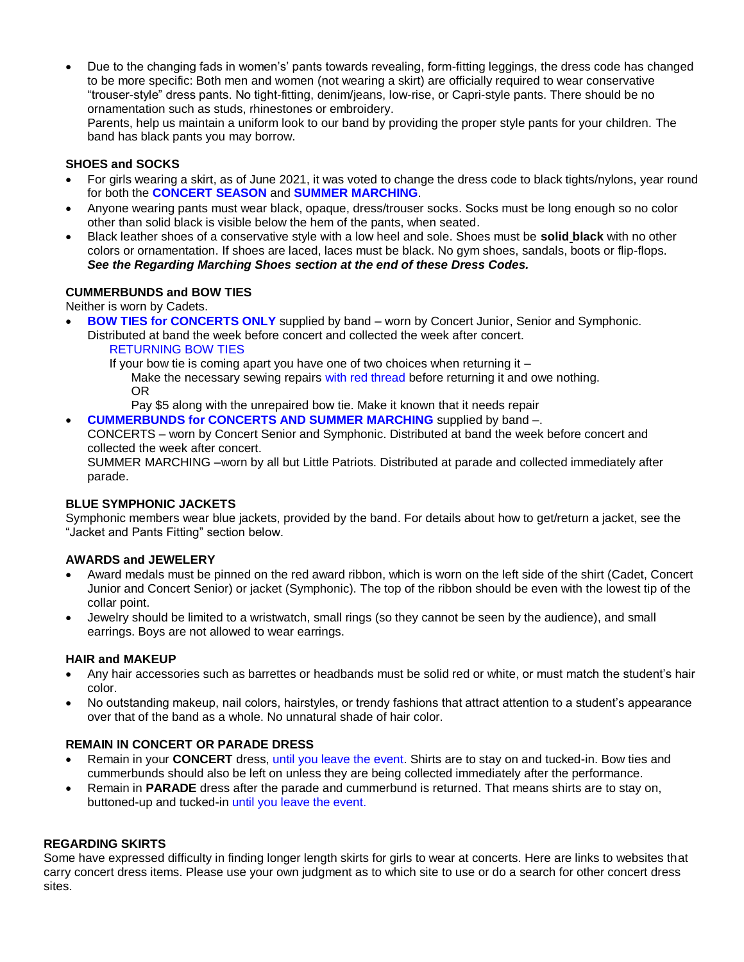Due to the changing fads in women's' pants towards revealing, form-fitting leggings, the dress code has changed to be more specific: Both men and women (not wearing a skirt) are officially required to wear conservative "trouser-style" dress pants. No tight-fitting, denim/jeans, low-rise, or Capri-style pants. There should be no ornamentation such as studs, rhinestones or embroidery.

Parents, help us maintain a uniform look to our band by providing the proper style pants for your children. The band has black pants you may borrow.

## **SHOES and SOCKS**

- For girls wearing a skirt, as of June 2021, it was voted to change the dress code to black tights/nylons, year round for both the **CONCERT SEASON** and **SUMMER MARCHING**.
- Anyone wearing pants must wear black, opaque, dress/trouser socks. Socks must be long enough so no color other than solid black is visible below the hem of the pants, when seated.
- Black leather shoes of a conservative style with a low heel and sole. Shoes must be **solid black** with no other colors or ornamentation. If shoes are laced, laces must be black. No gym shoes, sandals, boots or flip-flops. *See the Regarding Marching Shoes section at the end of these Dress Codes.*

#### **CUMMERBUNDS and BOW TIES**

Neither is worn by Cadets.

- **BOW TIES for CONCERTS ONLY** supplied by band worn by Concert Junior, Senior and Symphonic. Distributed at band the week before concert and collected the week after concert.
	- RETURNING BOW TIES

If your bow tie is coming apart you have one of two choices when returning it  $-$ Make the necessary sewing repairs with red thread before returning it and owe nothing. OR

Pay \$5 along with the unrepaired bow tie. Make it known that it needs repair **CUMMERBUNDS for CONCERTS AND SUMMER MARCHING** supplied by band –.

CONCERTS – worn by Concert Senior and Symphonic. Distributed at band the week before concert and collected the week after concert.

SUMMER MARCHING –worn by all but Little Patriots. Distributed at parade and collected immediately after parade.

#### **BLUE SYMPHONIC JACKETS**

Symphonic members wear blue jackets, provided by the band. For details about how to get/return a jacket, see the "Jacket and Pants Fitting" section below.

#### **AWARDS and JEWELERY**

- Award medals must be pinned on the red award ribbon, which is worn on the left side of the shirt (Cadet, Concert Junior and Concert Senior) or jacket (Symphonic). The top of the ribbon should be even with the lowest tip of the collar point.
- Jewelry should be limited to a wristwatch, small rings (so they cannot be seen by the audience), and small earrings. Boys are not allowed to wear earrings.

#### **HAIR and MAKEUP**

- Any hair accessories such as barrettes or headbands must be solid red or white, or must match the student's hair color.
- No outstanding makeup, nail colors, hairstyles, or trendy fashions that attract attention to a student's appearance over that of the band as a whole. No unnatural shade of hair color.

# **REMAIN IN CONCERT OR PARADE DRESS**

- Remain in your **CONCERT** dress, until you leave the event. Shirts are to stay on and tucked-in. Bow ties and cummerbunds should also be left on unless they are being collected immediately after the performance.
- Remain in **PARADE** dress after the parade and cummerbund is returned. That means shirts are to stay on, buttoned-up and tucked-in until you leave the event.

#### **REGARDING SKIRTS**

Some have expressed difficulty in finding longer length skirts for girls to wear at concerts. Here are links to websites that carry concert dress items. Please use your own judgment as to which site to use or do a search for other concert dress sites.